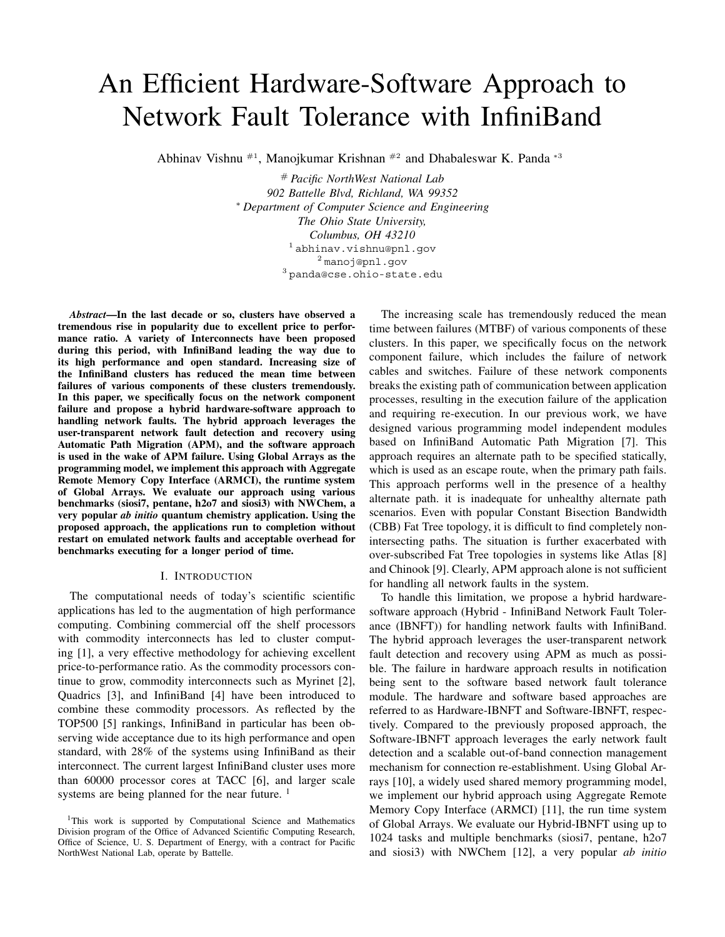# An Efficient Hardware-Software Approach to Network Fault Tolerance with InfiniBand

Abhinav Vishnu  $#^1$ , Manojkumar Krishnan  $#^2$  and Dhabaleswar K. Panda  $*^3$ 

# *Pacific NorthWest National Lab 902 Battelle Blvd, Richland, WA 99352* ∗ *Department of Computer Science and Engineering The Ohio State University, Columbus, OH 43210* <sup>1</sup> abhinav.vishnu@pnl.gov <sup>2</sup> manoj@pnl.gov <sup>3</sup> panda@cse.ohio-state.edu

*Abstract***—In the last decade or so, clusters have observed a tremendous rise in popularity due to excellent price to performance ratio. A variety of Interconnects have been proposed during this period, with InfiniBand leading the way due to its high performance and open standard. Increasing size of the InfiniBand clusters has reduced the mean time between failures of various components of these clusters tremendously. In this paper, we specifically focus on the network component failure and propose a hybrid hardware-software approach to handling network faults. The hybrid approach leverages the user-transparent network fault detection and recovery using Automatic Path Migration (APM), and the software approach is used in the wake of APM failure. Using Global Arrays as the programming model, we implement this approach with Aggregate Remote Memory Copy Interface (ARMCI), the runtime system of Global Arrays. We evaluate our approach using various benchmarks (siosi7, pentane, h2o7 and siosi3) with NWChem, a very popular** *ab initio* **quantum chemistry application. Using the proposed approach, the applications run to completion without restart on emulated network faults and acceptable overhead for benchmarks executing for a longer period of time.**

#### I. INTRODUCTION

The computational needs of today's scientific scientific applications has led to the augmentation of high performance computing. Combining commercial off the shelf processors with commodity interconnects has led to cluster computing [1], a very effective methodology for achieving excellent price-to-performance ratio. As the commodity processors continue to grow, commodity interconnects such as Myrinet [2], Quadrics [3], and InfiniBand [4] have been introduced to combine these commodity processors. As reflected by the TOP500 [5] rankings, InfiniBand in particular has been observing wide acceptance due to its high performance and open standard, with 28% of the systems using InfiniBand as their interconnect. The current largest InfiniBand cluster uses more than 60000 processor cores at TACC [6], and larger scale systems are being planned for the near future.  $<sup>1</sup>$ </sup>

The increasing scale has tremendously reduced the mean time between failures (MTBF) of various components of these clusters. In this paper, we specifically focus on the network component failure, which includes the failure of network cables and switches. Failure of these network components breaks the existing path of communication between application processes, resulting in the execution failure of the application and requiring re-execution. In our previous work, we have designed various programming model independent modules based on InfiniBand Automatic Path Migration [7]. This approach requires an alternate path to be specified statically, which is used as an escape route, when the primary path fails. This approach performs well in the presence of a healthy alternate path. it is inadequate for unhealthy alternate path scenarios. Even with popular Constant Bisection Bandwidth (CBB) Fat Tree topology, it is difficult to find completely nonintersecting paths. The situation is further exacerbated with over-subscribed Fat Tree topologies in systems like Atlas [8] and Chinook [9]. Clearly, APM approach alone is not sufficient for handling all network faults in the system.

To handle this limitation, we propose a hybrid hardwaresoftware approach (Hybrid - InfiniBand Network Fault Tolerance (IBNFT)) for handling network faults with InfiniBand. The hybrid approach leverages the user-transparent network fault detection and recovery using APM as much as possible. The failure in hardware approach results in notification being sent to the software based network fault tolerance module. The hardware and software based approaches are referred to as Hardware-IBNFT and Software-IBNFT, respectively. Compared to the previously proposed approach, the Software-IBNFT approach leverages the early network fault detection and a scalable out-of-band connection management mechanism for connection re-establishment. Using Global Arrays [10], a widely used shared memory programming model, we implement our hybrid approach using Aggregate Remote Memory Copy Interface (ARMCI) [11], the run time system of Global Arrays. We evaluate our Hybrid-IBNFT using up to 1024 tasks and multiple benchmarks (siosi7, pentane, h2o7 and siosi3) with NWChem [12], a very popular *ab initio*

<sup>&</sup>lt;sup>1</sup>This work is supported by Computational Science and Mathematics Division program of the Office of Advanced Scientific Computing Research, Office of Science, U. S. Department of Energy, with a contract for Pacific NorthWest National Lab, operate by Battelle.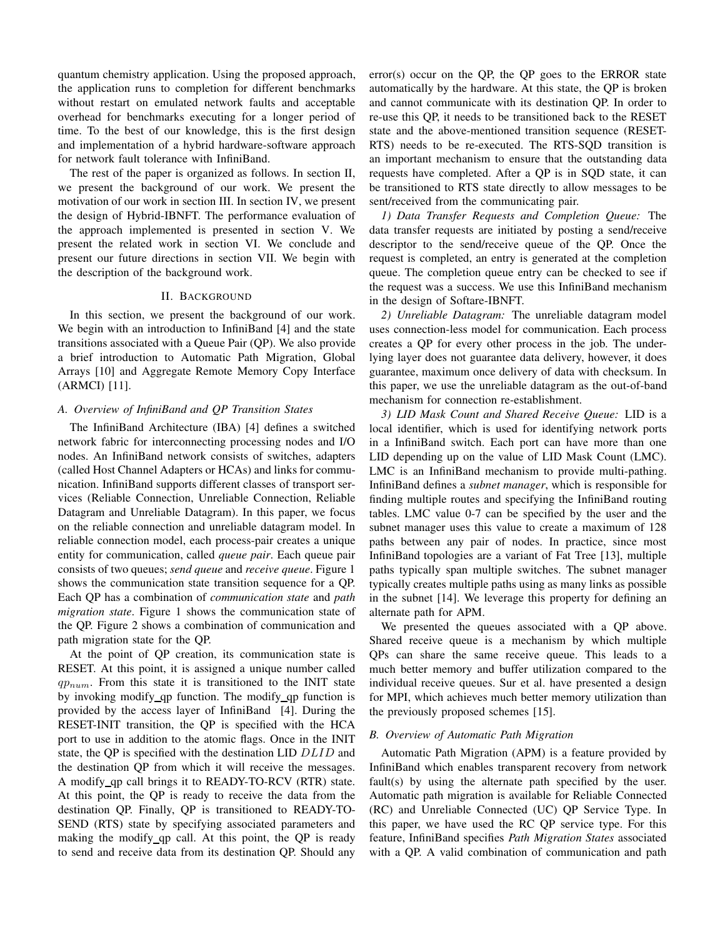quantum chemistry application. Using the proposed approach, the application runs to completion for different benchmarks without restart on emulated network faults and acceptable overhead for benchmarks executing for a longer period of time. To the best of our knowledge, this is the first design and implementation of a hybrid hardware-software approach for network fault tolerance with InfiniBand.

The rest of the paper is organized as follows. In section II, we present the background of our work. We present the motivation of our work in section III. In section IV, we present the design of Hybrid-IBNFT. The performance evaluation of the approach implemented is presented in section V. We present the related work in section VI. We conclude and present our future directions in section VII. We begin with the description of the background work.

#### II. BACKGROUND

In this section, we present the background of our work. We begin with an introduction to InfiniBand [4] and the state transitions associated with a Queue Pair (QP). We also provide a brief introduction to Automatic Path Migration, Global Arrays [10] and Aggregate Remote Memory Copy Interface (ARMCI) [11].

# *A. Overview of InfiniBand and QP Transition States*

The InfiniBand Architecture (IBA) [4] defines a switched network fabric for interconnecting processing nodes and I/O nodes. An InfiniBand network consists of switches, adapters (called Host Channel Adapters or HCAs) and links for communication. InfiniBand supports different classes of transport services (Reliable Connection, Unreliable Connection, Reliable Datagram and Unreliable Datagram). In this paper, we focus on the reliable connection and unreliable datagram model. In reliable connection model, each process-pair creates a unique entity for communication, called *queue pair*. Each queue pair consists of two queues; *send queue* and *receive queue*. Figure 1 shows the communication state transition sequence for a QP. Each QP has a combination of *communication state* and *path migration state*. Figure 1 shows the communication state of the QP. Figure 2 shows a combination of communication and path migration state for the QP.

At the point of QP creation, its communication state is RESET. At this point, it is assigned a unique number called  $qp_{num}$ . From this state it is transitioned to the INIT state by invoking modify qp function. The modify qp function is provided by the access layer of InfiniBand [4]. During the RESET-INIT transition, the QP is specified with the HCA port to use in addition to the atomic flags. Once in the INIT state, the QP is specified with the destination LID DLID and the destination QP from which it will receive the messages. A modify qp call brings it to READY-TO-RCV (RTR) state. At this point, the QP is ready to receive the data from the destination QP. Finally, QP is transitioned to READY-TO-SEND (RTS) state by specifying associated parameters and making the modify qp call. At this point, the QP is ready to send and receive data from its destination QP. Should any  $error(s)$  occur on the QP, the QP goes to the ERROR state automatically by the hardware. At this state, the QP is broken and cannot communicate with its destination QP. In order to re-use this QP, it needs to be transitioned back to the RESET state and the above-mentioned transition sequence (RESET-RTS) needs to be re-executed. The RTS-SQD transition is an important mechanism to ensure that the outstanding data requests have completed. After a QP is in SQD state, it can be transitioned to RTS state directly to allow messages to be sent/received from the communicating pair.

*1) Data Transfer Requests and Completion Queue:* The data transfer requests are initiated by posting a send/receive descriptor to the send/receive queue of the QP. Once the request is completed, an entry is generated at the completion queue. The completion queue entry can be checked to see if the request was a success. We use this InfiniBand mechanism in the design of Softare-IBNFT.

*2) Unreliable Datagram:* The unreliable datagram model uses connection-less model for communication. Each process creates a QP for every other process in the job. The underlying layer does not guarantee data delivery, however, it does guarantee, maximum once delivery of data with checksum. In this paper, we use the unreliable datagram as the out-of-band mechanism for connection re-establishment.

*3) LID Mask Count and Shared Receive Queue:* LID is a local identifier, which is used for identifying network ports in a InfiniBand switch. Each port can have more than one LID depending up on the value of LID Mask Count (LMC). LMC is an InfiniBand mechanism to provide multi-pathing. InfiniBand defines a *subnet manager*, which is responsible for finding multiple routes and specifying the InfiniBand routing tables. LMC value 0-7 can be specified by the user and the subnet manager uses this value to create a maximum of 128 paths between any pair of nodes. In practice, since most InfiniBand topologies are a variant of Fat Tree [13], multiple paths typically span multiple switches. The subnet manager typically creates multiple paths using as many links as possible in the subnet [14]. We leverage this property for defining an alternate path for APM.

We presented the queues associated with a QP above. Shared receive queue is a mechanism by which multiple QPs can share the same receive queue. This leads to a much better memory and buffer utilization compared to the individual receive queues. Sur et al. have presented a design for MPI, which achieves much better memory utilization than the previously proposed schemes [15].

## *B. Overview of Automatic Path Migration*

Automatic Path Migration (APM) is a feature provided by InfiniBand which enables transparent recovery from network fault(s) by using the alternate path specified by the user. Automatic path migration is available for Reliable Connected (RC) and Unreliable Connected (UC) QP Service Type. In this paper, we have used the RC QP service type. For this feature, InfiniBand specifies *Path Migration States* associated with a QP. A valid combination of communication and path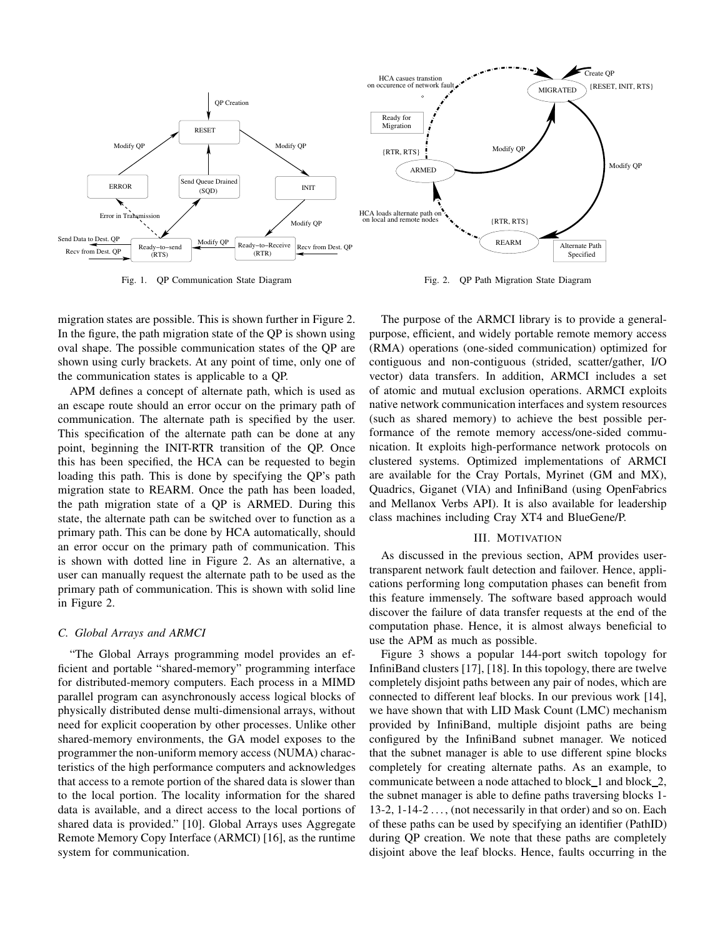

Fig. 1. QP Communication State Diagram

Fig. 2. QP Path Migration State Diagram

migration states are possible. This is shown further in Figure 2. In the figure, the path migration state of the QP is shown using oval shape. The possible communication states of the QP are shown using curly brackets. At any point of time, only one of the communication states is applicable to a QP.

APM defines a concept of alternate path, which is used as an escape route should an error occur on the primary path of communication. The alternate path is specified by the user. This specification of the alternate path can be done at any point, beginning the INIT-RTR transition of the QP. Once this has been specified, the HCA can be requested to begin loading this path. This is done by specifying the QP's path migration state to REARM. Once the path has been loaded, the path migration state of a QP is ARMED. During this state, the alternate path can be switched over to function as a primary path. This can be done by HCA automatically, should an error occur on the primary path of communication. This is shown with dotted line in Figure 2. As an alternative, a user can manually request the alternate path to be used as the primary path of communication. This is shown with solid line in Figure 2.

#### *C. Global Arrays and ARMCI*

"The Global Arrays programming model provides an efficient and portable "shared-memory" programming interface for distributed-memory computers. Each process in a MIMD parallel program can asynchronously access logical blocks of physically distributed dense multi-dimensional arrays, without need for explicit cooperation by other processes. Unlike other shared-memory environments, the GA model exposes to the programmer the non-uniform memory access (NUMA) characteristics of the high performance computers and acknowledges that access to a remote portion of the shared data is slower than to the local portion. The locality information for the shared data is available, and a direct access to the local portions of shared data is provided." [10]. Global Arrays uses Aggregate Remote Memory Copy Interface (ARMCI) [16], as the runtime system for communication.

The purpose of the ARMCI library is to provide a generalpurpose, efficient, and widely portable remote memory access (RMA) operations (one-sided communication) optimized for contiguous and non-contiguous (strided, scatter/gather, I/O vector) data transfers. In addition, ARMCI includes a set of atomic and mutual exclusion operations. ARMCI exploits native network communication interfaces and system resources (such as shared memory) to achieve the best possible performance of the remote memory access/one-sided communication. It exploits high-performance network protocols on clustered systems. Optimized implementations of ARMCI are available for the Cray Portals, Myrinet (GM and MX), Quadrics, Giganet (VIA) and InfiniBand (using OpenFabrics and Mellanox Verbs API). It is also available for leadership class machines including Cray XT4 and BlueGene/P.

#### III. MOTIVATION

As discussed in the previous section, APM provides usertransparent network fault detection and failover. Hence, applications performing long computation phases can benefit from this feature immensely. The software based approach would discover the failure of data transfer requests at the end of the computation phase. Hence, it is almost always beneficial to use the APM as much as possible.

Figure 3 shows a popular 144-port switch topology for InfiniBand clusters [17], [18]. In this topology, there are twelve completely disjoint paths between any pair of nodes, which are connected to different leaf blocks. In our previous work [14], we have shown that with LID Mask Count (LMC) mechanism provided by InfiniBand, multiple disjoint paths are being configured by the InfiniBand subnet manager. We noticed that the subnet manager is able to use different spine blocks completely for creating alternate paths. As an example, to communicate between a node attached to block\_1 and block\_2, the subnet manager is able to define paths traversing blocks 1- 13-2,  $1-14-2...$ , (not necessarily in that order) and so on. Each of these paths can be used by specifying an identifier (PathID) during QP creation. We note that these paths are completely disjoint above the leaf blocks. Hence, faults occurring in the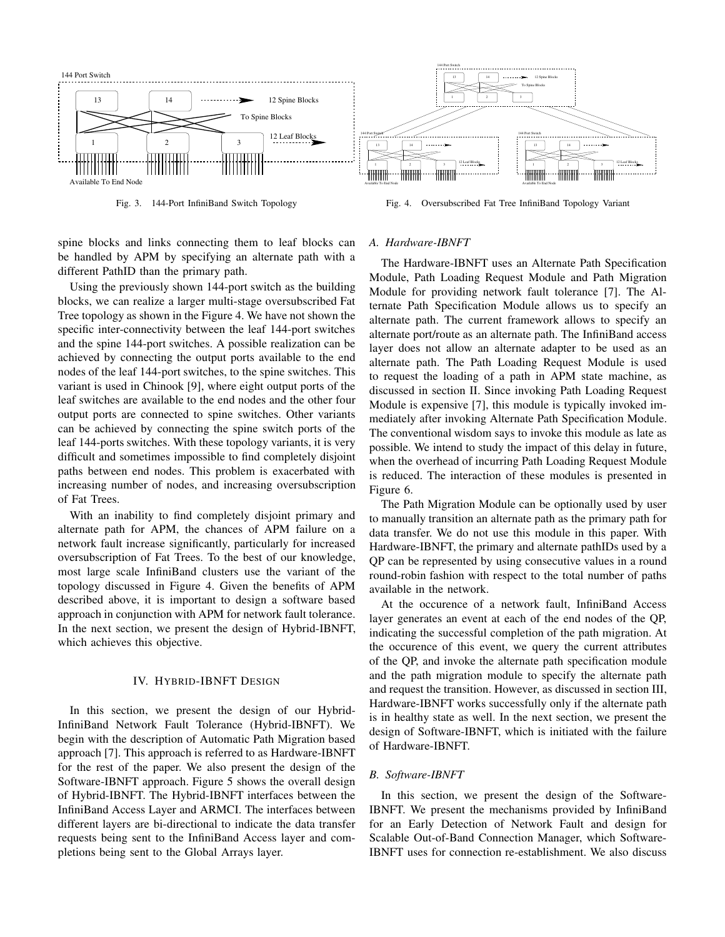

Fig. 3. 144-Port InfiniBand Switch Topology

spine blocks and links connecting them to leaf blocks can be handled by APM by specifying an alternate path with a different PathID than the primary path.

Using the previously shown 144-port switch as the building blocks, we can realize a larger multi-stage oversubscribed Fat Tree topology as shown in the Figure 4. We have not shown the specific inter-connectivity between the leaf 144-port switches and the spine 144-port switches. A possible realization can be achieved by connecting the output ports available to the end nodes of the leaf 144-port switches, to the spine switches. This variant is used in Chinook [9], where eight output ports of the leaf switches are available to the end nodes and the other four output ports are connected to spine switches. Other variants can be achieved by connecting the spine switch ports of the leaf 144-ports switches. With these topology variants, it is very difficult and sometimes impossible to find completely disjoint paths between end nodes. This problem is exacerbated with increasing number of nodes, and increasing oversubscription of Fat Trees.

With an inability to find completely disjoint primary and alternate path for APM, the chances of APM failure on a network fault increase significantly, particularly for increased oversubscription of Fat Trees. To the best of our knowledge, most large scale InfiniBand clusters use the variant of the topology discussed in Figure 4. Given the benefits of APM described above, it is important to design a software based approach in conjunction with APM for network fault tolerance. In the next section, we present the design of Hybrid-IBNFT, which achieves this objective.

#### IV. HYBRID-IBNFT DESIGN

In this section, we present the design of our Hybrid-InfiniBand Network Fault Tolerance (Hybrid-IBNFT). We begin with the description of Automatic Path Migration based approach [7]. This approach is referred to as Hardware-IBNFT for the rest of the paper. We also present the design of the Software-IBNFT approach. Figure 5 shows the overall design of Hybrid-IBNFT. The Hybrid-IBNFT interfaces between the InfiniBand Access Layer and ARMCI. The interfaces between different layers are bi-directional to indicate the data transfer requests being sent to the InfiniBand Access layer and completions being sent to the Global Arrays layer.



Fig. 4. Oversubscribed Fat Tree InfiniBand Topology Variant

#### *A. Hardware-IBNFT*

The Hardware-IBNFT uses an Alternate Path Specification Module, Path Loading Request Module and Path Migration Module for providing network fault tolerance [7]. The Alternate Path Specification Module allows us to specify an alternate path. The current framework allows to specify an alternate port/route as an alternate path. The InfiniBand access layer does not allow an alternate adapter to be used as an alternate path. The Path Loading Request Module is used to request the loading of a path in APM state machine, as discussed in section II. Since invoking Path Loading Request Module is expensive [7], this module is typically invoked immediately after invoking Alternate Path Specification Module. The conventional wisdom says to invoke this module as late as possible. We intend to study the impact of this delay in future, when the overhead of incurring Path Loading Request Module is reduced. The interaction of these modules is presented in Figure 6.

The Path Migration Module can be optionally used by user to manually transition an alternate path as the primary path for data transfer. We do not use this module in this paper. With Hardware-IBNFT, the primary and alternate pathIDs used by a QP can be represented by using consecutive values in a round round-robin fashion with respect to the total number of paths available in the network.

At the occurence of a network fault, InfiniBand Access layer generates an event at each of the end nodes of the QP, indicating the successful completion of the path migration. At the occurence of this event, we query the current attributes of the QP, and invoke the alternate path specification module and the path migration module to specify the alternate path and request the transition. However, as discussed in section III, Hardware-IBNFT works successfully only if the alternate path is in healthy state as well. In the next section, we present the design of Software-IBNFT, which is initiated with the failure of Hardware-IBNFT.

# *B. Software-IBNFT*

In this section, we present the design of the Software-IBNFT. We present the mechanisms provided by InfiniBand for an Early Detection of Network Fault and design for Scalable Out-of-Band Connection Manager, which Software-IBNFT uses for connection re-establishment. We also discuss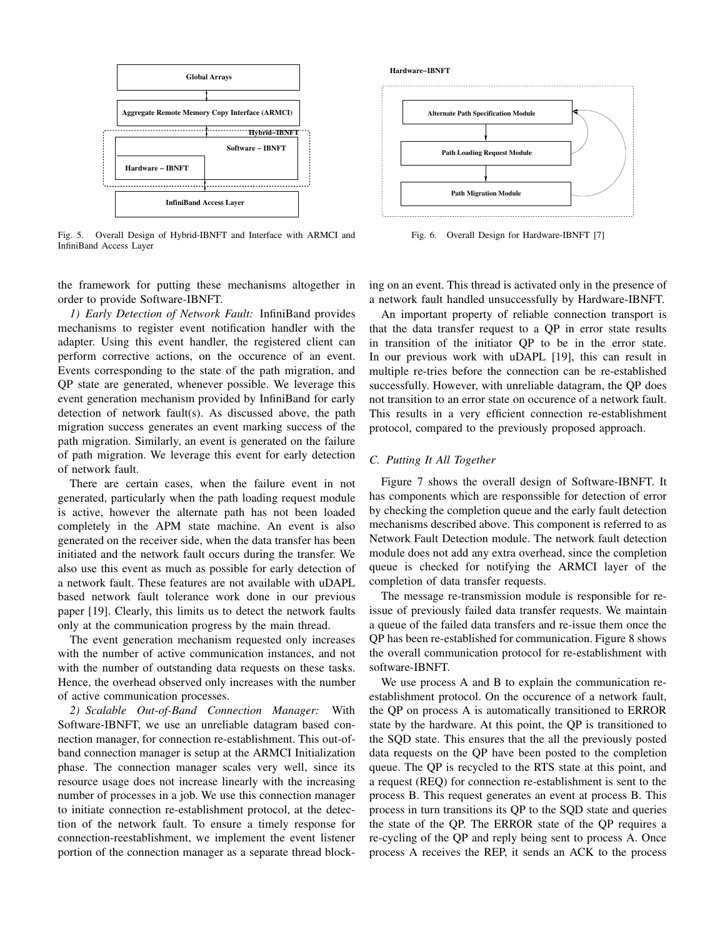

Fig. 5. Overall Design of Hybrid-IBNFT and Interface with ARMCI and InfiniBand Access Layer

the framework for putting these mechanisms altogether in order to provide Software-IBNFT.

*1) Early Detection of Network Fault:* InfiniBand provides mechanisms to register event notification handler with the adapter. Using this event handler, the registered client can perform corrective actions, on the occurence of an event. Events corresponding to the state of the path migration, and QP state are generated, whenever possible. We leverage this event generation mechanism provided by InfiniBand for early detection of network fault(s). As discussed above, the path migration success generates an event marking success of the path migration. Similarly, an event is generated on the failure of path migration. We leverage this event for early detection of network fault.

There are certain cases, when the failure event in not generated, particularly when the path loading request module is active, however the alternate path has not been loaded completely in the APM state machine. An event is also generated on the receiver side, when the data transfer has been initiated and the network fault occurs during the transfer. We also use this event as much as possible for early detection of a network fault. These features are not available with uDAPL based network fault tolerance work done in our previous paper [19]. Clearly, this limits us to detect the network faults only at the communication progress by the main thread.

The event generation mechanism requested only increases with the number of active communication instances, and not with the number of outstanding data requests on these tasks. Hence, the overhead observed only increases with the number of active communication processes.

*2) Scalable Out-of-Band Connection Manager:* With Software-IBNFT, we use an unreliable datagram based connection manager, for connection re-establishment. This out-ofband connection manager is setup at the ARMCI Initialization phase. The connection manager scales very well, since its resource usage does not increase linearly with the increasing number of processes in a job. We use this connection manager to initiate connection re-establishment protocol, at the detection of the network fault. To ensure a timely response for connection-reestablishment, we implement the event listener portion of the connection manager as a separate thread block-



Fig. 6. Overall Design for Hardware-IBNFT [7]

ing on an event. This thread is activated only in the presence of a network fault handled unsuccessfully by Hardware-IBNFT.

An important property of reliable connection transport is that the data transfer request to a QP in error state results in transition of the initiator QP to be in the error state. In our previous work with uDAPL [19], this can result in multiple re-tries before the connection can be re-established successfully. However, with unreliable datagram, the QP does not transition to an error state on occurence of a network fault. This results in a very efficient connection re-establishment protocol, compared to the previously proposed approach.

## *C. Putting It All Together*

Figure 7 shows the overall design of Software-IBNFT. It has components which are responssible for detection of error by checking the completion queue and the early fault detection mechanisms described above. This component is referred to as Network Fault Detection module. The network fault detection module does not add any extra overhead, since the completion queue is checked for notifying the ARMCI layer of the completion of data transfer requests.

The message re-transmission module is responsible for reissue of previously failed data transfer requests. We maintain a queue of the failed data transfers and re-issue them once the QP has been re-established for communication. Figure 8 shows the overall communication protocol for re-establishment with software-IBNFT.

We use process A and B to explain the communication reestablishment protocol. On the occurence of a network fault, the QP on process A is automatically transitioned to ERROR state by the hardware. At this point, the QP is transitioned to the SQD state. This ensures that the all the previously posted data requests on the QP have been posted to the completion queue. The QP is recycled to the RTS state at this point, and a request (REQ) for connection re-establishment is sent to the process B. This request generates an event at process B. This process in turn transitions its QP to the SQD state and queries the state of the QP. The ERROR state of the QP requires a re-cycling of the QP and reply being sent to process A. Once process A receives the REP, it sends an ACK to the process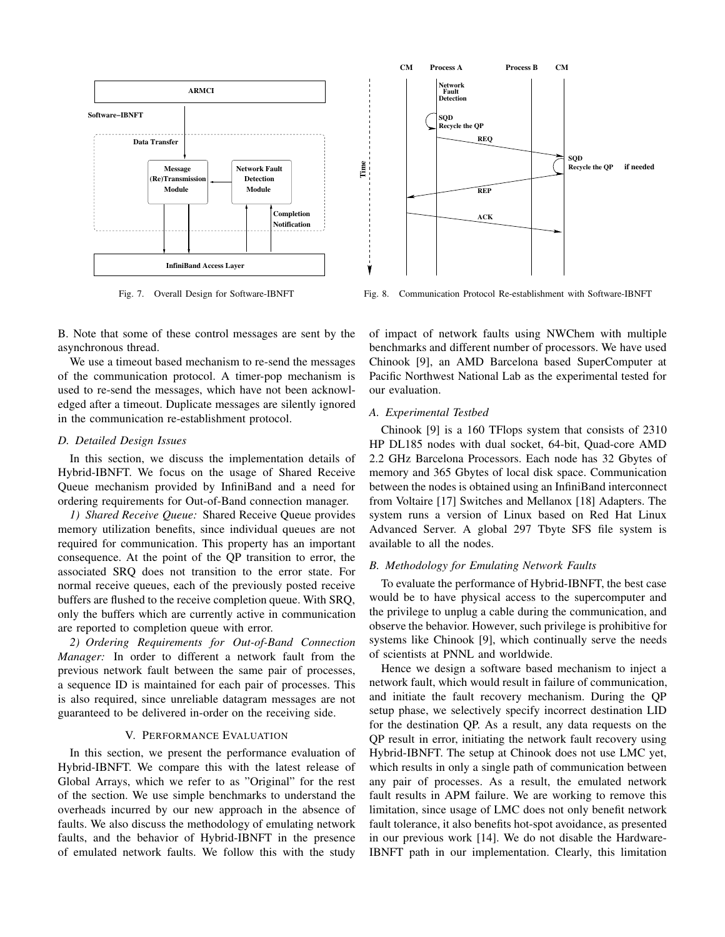

Fig. 7. Overall Design for Software-IBNFT

B. Note that some of these control messages are sent by the asynchronous thread.

We use a timeout based mechanism to re-send the messages of the communication protocol. A timer-pop mechanism is used to re-send the messages, which have not been acknowledged after a timeout. Duplicate messages are silently ignored in the communication re-establishment protocol.

# *D. Detailed Design Issues*

In this section, we discuss the implementation details of Hybrid-IBNFT. We focus on the usage of Shared Receive Queue mechanism provided by InfiniBand and a need for ordering requirements for Out-of-Band connection manager.

*1) Shared Receive Queue:* Shared Receive Queue provides memory utilization benefits, since individual queues are not required for communication. This property has an important consequence. At the point of the QP transition to error, the associated SRQ does not transition to the error state. For normal receive queues, each of the previously posted receive buffers are flushed to the receive completion queue. With SRQ, only the buffers which are currently active in communication are reported to completion queue with error.

*2) Ordering Requirements for Out-of-Band Connection Manager:* In order to different a network fault from the previous network fault between the same pair of processes, a sequence ID is maintained for each pair of processes. This is also required, since unreliable datagram messages are not guaranteed to be delivered in-order on the receiving side.

## V. PERFORMANCE EVALUATION

In this section, we present the performance evaluation of Hybrid-IBNFT. We compare this with the latest release of Global Arrays, which we refer to as "Original" for the rest of the section. We use simple benchmarks to understand the overheads incurred by our new approach in the absence of faults. We also discuss the methodology of emulating network faults, and the behavior of Hybrid-IBNFT in the presence of emulated network faults. We follow this with the study



Fig. 8. Communication Protocol Re-establishment with Software-IBNFT

of impact of network faults using NWChem with multiple benchmarks and different number of processors. We have used Chinook [9], an AMD Barcelona based SuperComputer at Pacific Northwest National Lab as the experimental tested for our evaluation.

# *A. Experimental Testbed*

Chinook [9] is a 160 TFlops system that consists of 2310 HP DL185 nodes with dual socket, 64-bit, Quad-core AMD 2.2 GHz Barcelona Processors. Each node has 32 Gbytes of memory and 365 Gbytes of local disk space. Communication between the nodes is obtained using an InfiniBand interconnect from Voltaire [17] Switches and Mellanox [18] Adapters. The system runs a version of Linux based on Red Hat Linux Advanced Server. A global 297 Tbyte SFS file system is available to all the nodes.

# *B. Methodology for Emulating Network Faults*

To evaluate the performance of Hybrid-IBNFT, the best case would be to have physical access to the supercomputer and the privilege to unplug a cable during the communication, and observe the behavior. However, such privilege is prohibitive for systems like Chinook [9], which continually serve the needs of scientists at PNNL and worldwide.

Hence we design a software based mechanism to inject a network fault, which would result in failure of communication, and initiate the fault recovery mechanism. During the QP setup phase, we selectively specify incorrect destination LID for the destination QP. As a result, any data requests on the QP result in error, initiating the network fault recovery using Hybrid-IBNFT. The setup at Chinook does not use LMC yet, which results in only a single path of communication between any pair of processes. As a result, the emulated network fault results in APM failure. We are working to remove this limitation, since usage of LMC does not only benefit network fault tolerance, it also benefits hot-spot avoidance, as presented in our previous work [14]. We do not disable the Hardware-IBNFT path in our implementation. Clearly, this limitation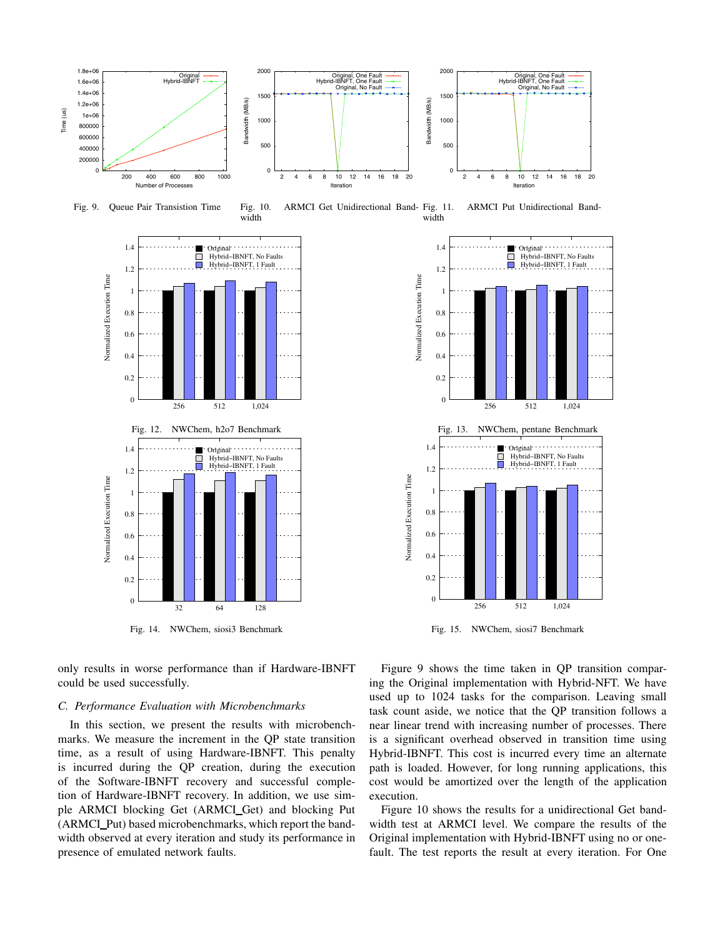

Fig. 9. Queue Pair Transistion Time



width

Fig. 14. NWChem, siosi3 Benchmark

only results in worse performance than if Hardware-IBNFT could be used successfully.

## *C. Performance Evaluation with Microbenchmarks*

In this section, we present the results with microbenchmarks. We measure the increment in the QP state transition time, as a result of using Hardware-IBNFT. This penalty is incurred during the QP creation, during the execution of the Software-IBNFT recovery and successful completion of Hardware-IBNFT recovery. In addition, we use simple ARMCI blocking Get (ARMCI\_Get) and blocking Put (ARMCI\_Put) based microbenchmarks, which report the bandwidth observed at every iteration and study its performance in presence of emulated network faults.

Fig. 10. ARMCI Get Unidirectional Band-ARMCI Put Unidirectional Bandwidth



Fig. 15. NWChem, siosi7 Benchmark

Figure 9 shows the time taken in QP transition comparing the Original implementation with Hybrid-NFT. We have used up to 1024 tasks for the comparison. Leaving small task count aside, we notice that the QP transition follows a near linear trend with increasing number of processes. There is a significant overhead observed in transition time using Hybrid-IBNFT. This cost is incurred every time an alternate path is loaded. However, for long running applications, this cost would be amortized over the length of the application execution.

Figure 10 shows the results for a unidirectional Get bandwidth test at ARMCI level. We compare the results of the Original implementation with Hybrid-IBNFT using no or onefault. The test reports the result at every iteration. For One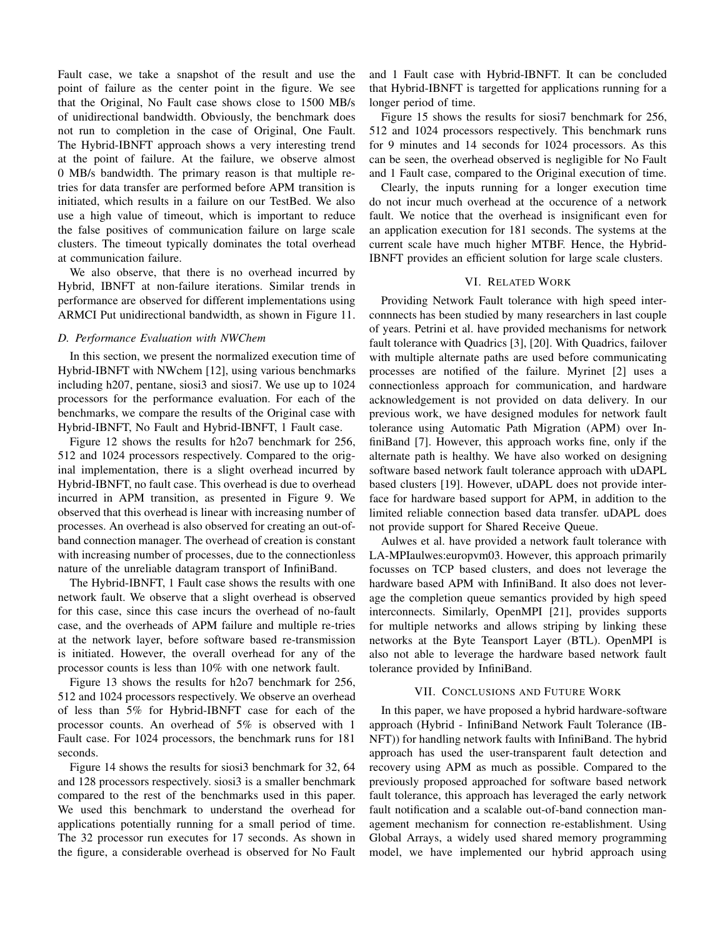Fault case, we take a snapshot of the result and use the point of failure as the center point in the figure. We see that the Original, No Fault case shows close to 1500 MB/s of unidirectional bandwidth. Obviously, the benchmark does not run to completion in the case of Original, One Fault. The Hybrid-IBNFT approach shows a very interesting trend at the point of failure. At the failure, we observe almost 0 MB/s bandwidth. The primary reason is that multiple retries for data transfer are performed before APM transition is initiated, which results in a failure on our TestBed. We also use a high value of timeout, which is important to reduce the false positives of communication failure on large scale clusters. The timeout typically dominates the total overhead at communication failure.

We also observe, that there is no overhead incurred by Hybrid, IBNFT at non-failure iterations. Similar trends in performance are observed for different implementations using ARMCI Put unidirectional bandwidth, as shown in Figure 11.

# *D. Performance Evaluation with NWChem*

In this section, we present the normalized execution time of Hybrid-IBNFT with NWchem [12], using various benchmarks including h207, pentane, siosi3 and siosi7. We use up to 1024 processors for the performance evaluation. For each of the benchmarks, we compare the results of the Original case with Hybrid-IBNFT, No Fault and Hybrid-IBNFT, 1 Fault case.

Figure 12 shows the results for h2o7 benchmark for 256, 512 and 1024 processors respectively. Compared to the original implementation, there is a slight overhead incurred by Hybrid-IBNFT, no fault case. This overhead is due to overhead incurred in APM transition, as presented in Figure 9. We observed that this overhead is linear with increasing number of processes. An overhead is also observed for creating an out-ofband connection manager. The overhead of creation is constant with increasing number of processes, due to the connectionless nature of the unreliable datagram transport of InfiniBand.

The Hybrid-IBNFT, 1 Fault case shows the results with one network fault. We observe that a slight overhead is observed for this case, since this case incurs the overhead of no-fault case, and the overheads of APM failure and multiple re-tries at the network layer, before software based re-transmission is initiated. However, the overall overhead for any of the processor counts is less than 10% with one network fault.

Figure 13 shows the results for h2o7 benchmark for 256, 512 and 1024 processors respectively. We observe an overhead of less than 5% for Hybrid-IBNFT case for each of the processor counts. An overhead of 5% is observed with 1 Fault case. For 1024 processors, the benchmark runs for 181 seconds.

Figure 14 shows the results for siosi3 benchmark for 32, 64 and 128 processors respectively. siosi3 is a smaller benchmark compared to the rest of the benchmarks used in this paper. We used this benchmark to understand the overhead for applications potentially running for a small period of time. The 32 processor run executes for 17 seconds. As shown in the figure, a considerable overhead is observed for No Fault and 1 Fault case with Hybrid-IBNFT. It can be concluded that Hybrid-IBNFT is targetted for applications running for a longer period of time.

Figure 15 shows the results for siosi7 benchmark for 256, 512 and 1024 processors respectively. This benchmark runs for 9 minutes and 14 seconds for 1024 processors. As this can be seen, the overhead observed is negligible for No Fault and 1 Fault case, compared to the Original execution of time.

Clearly, the inputs running for a longer execution time do not incur much overhead at the occurence of a network fault. We notice that the overhead is insignificant even for an application execution for 181 seconds. The systems at the current scale have much higher MTBF. Hence, the Hybrid-IBNFT provides an efficient solution for large scale clusters.

## VI. RELATED WORK

Providing Network Fault tolerance with high speed interconnnects has been studied by many researchers in last couple of years. Petrini et al. have provided mechanisms for network fault tolerance with Quadrics [3], [20]. With Quadrics, failover with multiple alternate paths are used before communicating processes are notified of the failure. Myrinet [2] uses a connectionless approach for communication, and hardware acknowledgement is not provided on data delivery. In our previous work, we have designed modules for network fault tolerance using Automatic Path Migration (APM) over InfiniBand [7]. However, this approach works fine, only if the alternate path is healthy. We have also worked on designing software based network fault tolerance approach with uDAPL based clusters [19]. However, uDAPL does not provide interface for hardware based support for APM, in addition to the limited reliable connection based data transfer. uDAPL does not provide support for Shared Receive Queue.

Aulwes et al. have provided a network fault tolerance with LA-MPIaulwes:europvm03. However, this approach primarily focusses on TCP based clusters, and does not leverage the hardware based APM with InfiniBand. It also does not leverage the completion queue semantics provided by high speed interconnects. Similarly, OpenMPI [21], provides supports for multiple networks and allows striping by linking these networks at the Byte Teansport Layer (BTL). OpenMPI is also not able to leverage the hardware based network fault tolerance provided by InfiniBand.

# VII. CONCLUSIONS AND FUTURE WORK

In this paper, we have proposed a hybrid hardware-software approach (Hybrid - InfiniBand Network Fault Tolerance (IB-NFT)) for handling network faults with InfiniBand. The hybrid approach has used the user-transparent fault detection and recovery using APM as much as possible. Compared to the previously proposed approached for software based network fault tolerance, this approach has leveraged the early network fault notification and a scalable out-of-band connection management mechanism for connection re-establishment. Using Global Arrays, a widely used shared memory programming model, we have implemented our hybrid approach using